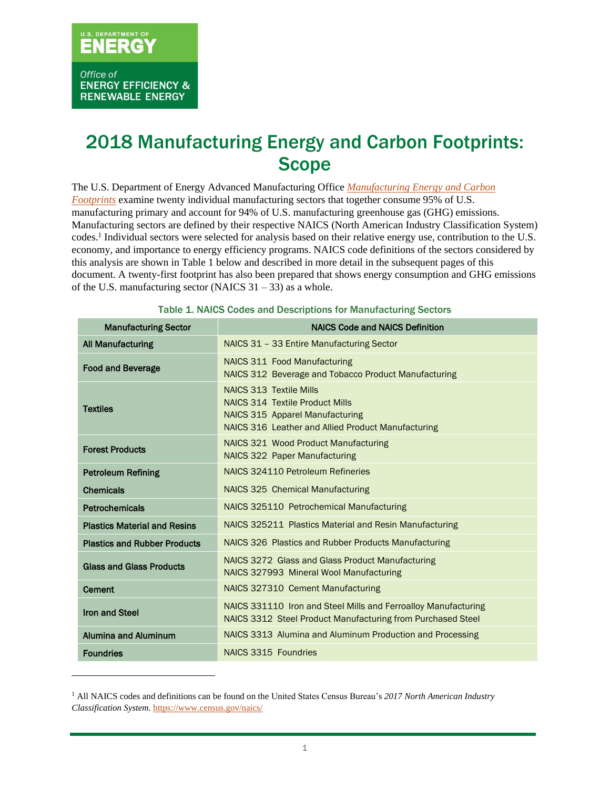# ERGY

Office of **ENERGY EFFICIENCY & RENEWABLE ENERGY** 

# 2018 Manufacturing Energy and Carbon Footprints: **Scope**

The U.S. Department of Energy Advanced Manufacturing Office *[Manufacturing Energy and Carbon](https://www.energy.gov/eere/amo/manufacturing-energy-and-carbon-footprints-2018-mecs)  [Footprints](https://www.energy.gov/eere/amo/manufacturing-energy-and-carbon-footprints-2018-mecs)* examine twenty individual manufacturing sectors that together consume 95% of U.S. manufacturing primary and account for 94% of U.S. manufacturing greenhouse gas (GHG) emissions. Manufacturing sectors are defined by their respective NAICS (North American Industry Classification System) codes. 1 Individual sectors were selected for analysis based on their relative energy use, contribution to the U.S. economy, and importance to energy efficiency programs. NAICS code definitions of the sectors considered by this analysis are shown in Table 1 below and described in more detail in the subsequent pages of this document. A twenty-first footprint has also been prepared that shows energy consumption and GHG emissions of the U.S. manufacturing sector (NAICS  $31 - 33$ ) as a whole.

| <b>Manufacturing Sector</b>         | <b>NAICS Code and NAICS Definition</b>                                                                                                                            |
|-------------------------------------|-------------------------------------------------------------------------------------------------------------------------------------------------------------------|
| <b>All Manufacturing</b>            | NAICS 31 - 33 Entire Manufacturing Sector                                                                                                                         |
| <b>Food and Beverage</b>            | <b>NAICS 311 Food Manufacturing</b><br>NAICS 312 Beverage and Tobacco Product Manufacturing                                                                       |
| <b>Textiles</b>                     | <b>NAICS 313 Textile Mills</b><br>NAICS 314 Textile Product Mills<br><b>NAICS 315 Apparel Manufacturing</b><br>NAICS 316 Leather and Allied Product Manufacturing |
| <b>Forest Products</b>              | NAICS 321 Wood Product Manufacturing<br><b>NAICS 322 Paper Manufacturing</b>                                                                                      |
| <b>Petroleum Refining</b>           | NAICS 324110 Petroleum Refineries                                                                                                                                 |
| <b>Chemicals</b>                    | NAICS 325 Chemical Manufacturing                                                                                                                                  |
| Petrochemicals                      | NAICS 325110 Petrochemical Manufacturing                                                                                                                          |
| <b>Plastics Material and Resins</b> | NAICS 325211 Plastics Material and Resin Manufacturing                                                                                                            |
| <b>Plastics and Rubber Products</b> | NAICS 326 Plastics and Rubber Products Manufacturing                                                                                                              |
| <b>Glass and Glass Products</b>     | NAICS 3272 Glass and Glass Product Manufacturing<br>NAICS 327993 Mineral Wool Manufacturing                                                                       |
| <b>Cement</b>                       | NAICS 327310 Cement Manufacturing                                                                                                                                 |
| <b>Iron and Steel</b>               | NAICS 331110 Iron and Steel Mills and Ferroalloy Manufacturing<br>NAICS 3312 Steel Product Manufacturing from Purchased Steel                                     |
| <b>Alumina and Aluminum</b>         | NAICS 3313 Alumina and Aluminum Production and Processing                                                                                                         |
| <b>Foundries</b>                    | NAICS 3315 Foundries                                                                                                                                              |

#### Table 1. NAICS Codes and Descriptions for Manufacturing Sectors

<sup>1</sup> All NAICS codes and definitions can be found on the United States Census Bureau's *2017 North American Industry Classification System.* <https://www.census.gov/naics/>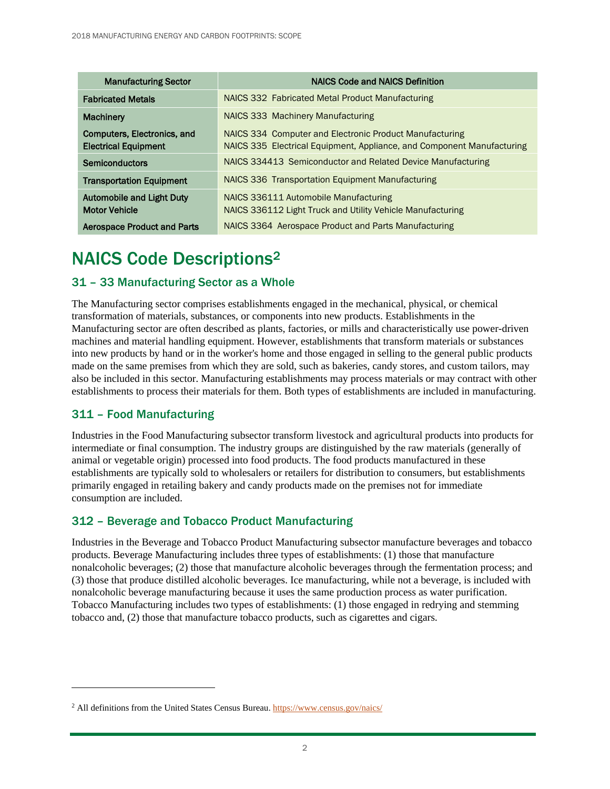| <b>Manufacturing Sector</b>                                | <b>NAICS Code and NAICS Definition</b>                                                                                            |
|------------------------------------------------------------|-----------------------------------------------------------------------------------------------------------------------------------|
| <b>Fabricated Metals</b>                                   | NAICS 332 Fabricated Metal Product Manufacturing                                                                                  |
| <b>Machinery</b>                                           | NAICS 333 Machinery Manufacturing                                                                                                 |
| Computers, Electronics, and<br><b>Electrical Equipment</b> | NAICS 334 Computer and Electronic Product Manufacturing<br>NAICS 335 Electrical Equipment, Appliance, and Component Manufacturing |
| <b>Semiconductors</b>                                      | NAICS 334413 Semiconductor and Related Device Manufacturing                                                                       |
| <b>Transportation Equipment</b>                            | NAICS 336 Transportation Equipment Manufacturing                                                                                  |
| <b>Automobile and Light Duty</b><br><b>Motor Vehicle</b>   | NAICS 336111 Automobile Manufacturing<br>NAICS 336112 Light Truck and Utility Vehicle Manufacturing                               |
| <b>Aerospace Product and Parts</b>                         | NAICS 3364 Aerospace Product and Parts Manufacturing                                                                              |

# NAICS Code Descriptions<sup>2</sup>

#### 31 – 33 Manufacturing Sector as a Whole

The Manufacturing sector comprises establishments engaged in the mechanical, physical, or chemical transformation of materials, substances, or components into new products. Establishments in the Manufacturing sector are often described as plants, factories, or mills and characteristically use power-driven machines and material handling equipment. However, establishments that transform materials or substances into new products by hand or in the worker's home and those engaged in selling to the general public products made on the same premises from which they are sold, such as bakeries, candy stores, and custom tailors, may also be included in this sector. Manufacturing establishments may process materials or may contract with other establishments to process their materials for them. Both types of establishments are included in manufacturing.

# 311 – Food Manufacturing

Industries in the Food Manufacturing subsector transform livestock and agricultural products into products for intermediate or final consumption. The industry groups are distinguished by the raw materials (generally of animal or vegetable origin) processed into food products. The food products manufactured in these establishments are typically sold to wholesalers or retailers for distribution to consumers, but establishments primarily engaged in retailing bakery and candy products made on the premises not for immediate consumption are included.

# 312 – Beverage and Tobacco Product Manufacturing

Industries in the Beverage and Tobacco Product Manufacturing subsector manufacture beverages and tobacco products. Beverage Manufacturing includes three types of establishments: (1) those that manufacture nonalcoholic beverages; (2) those that manufacture alcoholic beverages through the fermentation process; and (3) those that produce distilled alcoholic beverages. Ice manufacturing, while not a beverage, is included with nonalcoholic beverage manufacturing because it uses the same production process as water purification. Tobacco Manufacturing includes two types of establishments: (1) those engaged in redrying and stemming tobacco and, (2) those that manufacture tobacco products, such as cigarettes and cigars.

<sup>2</sup> All definitions from the United States Census Bureau.<https://www.census.gov/naics/>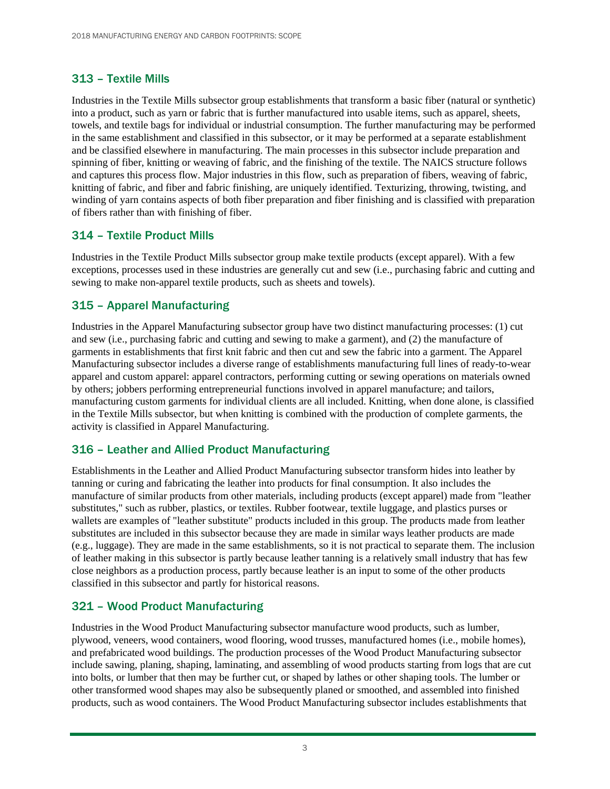# 313 – Textile Mills

Industries in the Textile Mills subsector group establishments that transform a basic fiber (natural or synthetic) into a product, such as yarn or fabric that is further manufactured into usable items, such as apparel, sheets, towels, and textile bags for individual or industrial consumption. The further manufacturing may be performed in the same establishment and classified in this subsector, or it may be performed at a separate establishment and be classified elsewhere in manufacturing. The main processes in this subsector include preparation and spinning of fiber, knitting or weaving of fabric, and the finishing of the textile. The NAICS structure follows and captures this process flow. Major industries in this flow, such as preparation of fibers, weaving of fabric, knitting of fabric, and fiber and fabric finishing, are uniquely identified. Texturizing, throwing, twisting, and winding of yarn contains aspects of both fiber preparation and fiber finishing and is classified with preparation of fibers rather than with finishing of fiber.

# 314 – Textile Product Mills

Industries in the Textile Product Mills subsector group make textile products (except apparel). With a few exceptions, processes used in these industries are generally cut and sew (i.e., purchasing fabric and cutting and sewing to make non-apparel textile products, such as sheets and towels).

#### 315 – Apparel Manufacturing

Industries in the Apparel Manufacturing subsector group have two distinct manufacturing processes: (1) cut and sew (i.e., purchasing fabric and cutting and sewing to make a garment), and (2) the manufacture of garments in establishments that first knit fabric and then cut and sew the fabric into a garment. The Apparel Manufacturing subsector includes a diverse range of establishments manufacturing full lines of ready-to-wear apparel and custom apparel: apparel contractors, performing cutting or sewing operations on materials owned by others; jobbers performing entrepreneurial functions involved in apparel manufacture; and tailors, manufacturing custom garments for individual clients are all included. Knitting, when done alone, is classified in the Textile Mills subsector, but when knitting is combined with the production of complete garments, the activity is classified in Apparel Manufacturing.

# 316 – Leather and Allied Product Manufacturing

Establishments in the Leather and Allied Product Manufacturing subsector transform hides into leather by tanning or curing and fabricating the leather into products for final consumption. It also includes the manufacture of similar products from other materials, including products (except apparel) made from "leather substitutes," such as rubber, plastics, or textiles. Rubber footwear, textile luggage, and plastics purses or wallets are examples of "leather substitute" products included in this group. The products made from leather substitutes are included in this subsector because they are made in similar ways leather products are made (e.g., luggage). They are made in the same establishments, so it is not practical to separate them. The inclusion of leather making in this subsector is partly because leather tanning is a relatively small industry that has few close neighbors as a production process, partly because leather is an input to some of the other products classified in this subsector and partly for historical reasons.

# 321 – Wood Product Manufacturing

Industries in the Wood Product Manufacturing subsector manufacture wood products, such as lumber, plywood, veneers, wood containers, wood flooring, wood trusses, manufactured homes (i.e., mobile homes), and prefabricated wood buildings. The production processes of the Wood Product Manufacturing subsector include sawing, planing, shaping, laminating, and assembling of wood products starting from logs that are cut into bolts, or lumber that then may be further cut, or shaped by lathes or other shaping tools. The lumber or other transformed wood shapes may also be subsequently planed or smoothed, and assembled into finished products, such as wood containers. The Wood Product Manufacturing subsector includes establishments that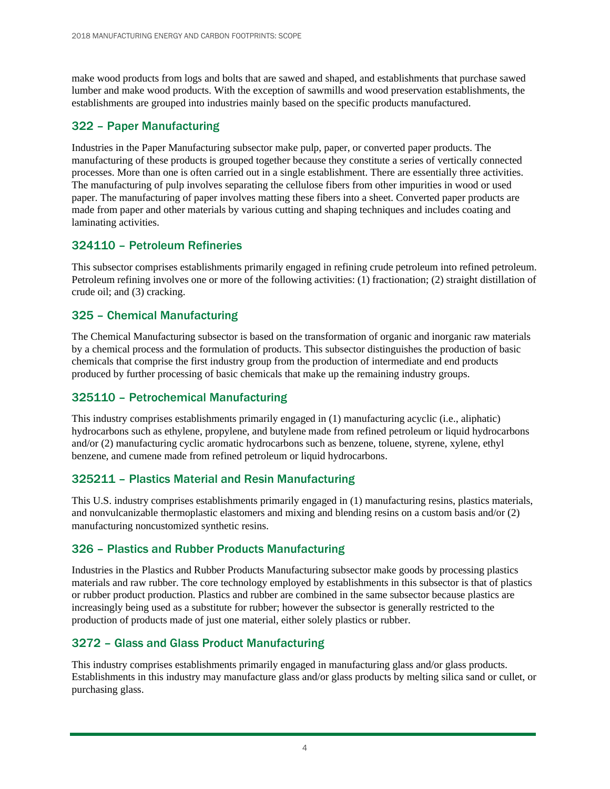make wood products from logs and bolts that are sawed and shaped, and establishments that purchase sawed lumber and make wood products. With the exception of sawmills and wood preservation establishments, the establishments are grouped into industries mainly based on the specific products manufactured.

#### 322 – Paper Manufacturing

Industries in the Paper Manufacturing subsector make pulp, paper, or converted paper products. The manufacturing of these products is grouped together because they constitute a series of vertically connected processes. More than one is often carried out in a single establishment. There are essentially three activities. The manufacturing of pulp involves separating the cellulose fibers from other impurities in wood or used paper. The manufacturing of paper involves matting these fibers into a sheet. Converted paper products are made from paper and other materials by various cutting and shaping techniques and includes coating and laminating activities.

#### 324110 – Petroleum Refineries

This subsector comprises establishments primarily engaged in refining crude petroleum into refined petroleum. Petroleum refining involves one or more of the following activities: (1) fractionation; (2) straight distillation of crude oil; and (3) cracking.

#### 325 – Chemical Manufacturing

The Chemical Manufacturing subsector is based on the transformation of organic and inorganic raw materials by a chemical process and the formulation of products. This subsector distinguishes the production of basic chemicals that comprise the first industry group from the production of intermediate and end products produced by further processing of basic chemicals that make up the remaining industry groups.

#### 325110 – Petrochemical Manufacturing

This industry comprises establishments primarily engaged in (1) manufacturing acyclic (i.e., aliphatic) hydrocarbons such as ethylene, propylene, and butylene made from refined petroleum or liquid hydrocarbons and/or (2) manufacturing cyclic aromatic hydrocarbons such as benzene, toluene, styrene, xylene, ethyl benzene, and cumene made from refined petroleum or liquid hydrocarbons.

#### 325211 – Plastics Material and Resin Manufacturing

This U.S. industry comprises establishments primarily engaged in (1) manufacturing resins, plastics materials, and nonvulcanizable thermoplastic elastomers and mixing and blending resins on a custom basis and/or (2) manufacturing noncustomized synthetic resins.

#### 326 – Plastics and Rubber Products Manufacturing

Industries in the Plastics and Rubber Products Manufacturing subsector make goods by processing plastics materials and raw rubber. The core technology employed by establishments in this subsector is that of plastics or rubber product production. Plastics and rubber are combined in the same subsector because plastics are increasingly being used as a substitute for rubber; however the subsector is generally restricted to the production of products made of just one material, either solely plastics or rubber.

# 3272 – Glass and Glass Product Manufacturing

This industry comprises establishments primarily engaged in manufacturing glass and/or glass products. Establishments in this industry may manufacture glass and/or glass products by melting silica sand or cullet, or purchasing glass.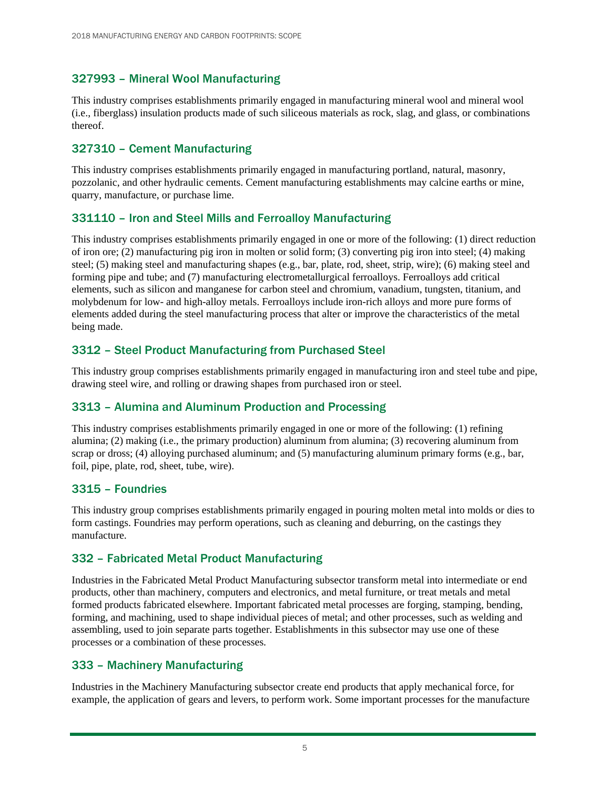# 327993 – Mineral Wool Manufacturing

This industry comprises establishments primarily engaged in manufacturing mineral wool and mineral wool (i.e., fiberglass) insulation products made of such siliceous materials as rock, slag, and glass, or combinations thereof.

# 327310 – Cement Manufacturing

This industry comprises establishments primarily engaged in manufacturing portland, natural, masonry, pozzolanic, and other hydraulic cements. Cement manufacturing establishments may calcine earths or mine, quarry, manufacture, or purchase lime.

# 331110 – Iron and Steel Mills and Ferroalloy Manufacturing

This industry comprises establishments primarily engaged in one or more of the following: (1) direct reduction of iron ore; (2) manufacturing pig iron in molten or solid form; (3) converting pig iron into steel; (4) making steel; (5) making steel and manufacturing shapes (e.g., bar, plate, rod, sheet, strip, wire); (6) making steel and forming pipe and tube; and (7) manufacturing electrometallurgical ferroalloys. Ferroalloys add critical elements, such as silicon and manganese for carbon steel and chromium, vanadium, tungsten, titanium, and molybdenum for low- and high-alloy metals. Ferroalloys include iron-rich alloys and more pure forms of elements added during the steel manufacturing process that alter or improve the characteristics of the metal being made.

#### 3312 – Steel Product Manufacturing from Purchased Steel

This industry group comprises establishments primarily engaged in manufacturing iron and steel tube and pipe, drawing steel wire, and rolling or drawing shapes from purchased iron or steel.

# 3313 – Alumina and Aluminum Production and Processing

This industry comprises establishments primarily engaged in one or more of the following: (1) refining alumina; (2) making (i.e., the primary production) aluminum from alumina; (3) recovering aluminum from scrap or dross; (4) alloying purchased aluminum; and (5) manufacturing aluminum primary forms (e.g., bar, foil, pipe, plate, rod, sheet, tube, wire).

#### 3315 – Foundries

This industry group comprises establishments primarily engaged in pouring molten metal into molds or dies to form castings. Foundries may perform operations, such as cleaning and deburring, on the castings they manufacture.

# 332 – Fabricated Metal Product Manufacturing

Industries in the Fabricated Metal Product Manufacturing subsector transform metal into intermediate or end products, other than machinery, computers and electronics, and metal furniture, or treat metals and metal formed products fabricated elsewhere. Important fabricated metal processes are forging, stamping, bending, forming, and machining, used to shape individual pieces of metal; and other processes, such as welding and assembling, used to join separate parts together. Establishments in this subsector may use one of these processes or a combination of these processes.

#### 333 – Machinery Manufacturing

Industries in the Machinery Manufacturing subsector create end products that apply mechanical force, for example, the application of gears and levers, to perform work. Some important processes for the manufacture